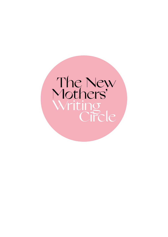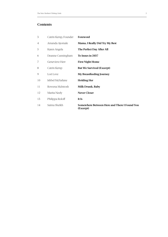# **Contents**

| 3  | Catrin Kemp, Founder | Foreword                                                  |
|----|----------------------|-----------------------------------------------------------|
| 4  | Amanda Ajomale       | Mama, I Really Did Try My Best                            |
| 5  | Karen Angela         | The Perfect Day After All                                 |
| 6  | Deanne Cunningham    | To Innes in 2037                                          |
| 7  | Genevieve Herr       | <b>First Night Home</b>                                   |
| 8  | Catrin Kemp          | <b>But We Survived (Excerpt)</b>                          |
| 9  | Lori Love            | <b>My Breastfeeding Journey</b>                           |
| 10 | Ishbel McFarlane     | <b>Holding Her</b>                                        |
| 11 | Rowena McIntosh      | <b>Milk Drunk, Baby</b>                                   |
| 12 | Marita Neely         | <b>Never Closer</b>                                       |
| 13 | Philippa Roloff      | It Is                                                     |
| 14 | Saima Sheikh         | Somewhere Between Here and There I Found You<br>(Excerpt) |
|    |                      |                                                           |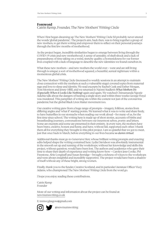### **Foreword** Catrin Kemp, Founder, The New Mothers' Writing Circle

When I first began dreaming up The New Mothers' Writing Circle I'd probably never uttered the words 'global pandemic'. The project's aim, back then, was to bring together a group of new mothers, to get them writing and empower them to reflect on their personal journeys through the first few months of motherhood.

As the project began, incredible similarities began to emerge between living through the COVID-19 crisis and new motherhood: A sense of unreality, of shell-shock and a lack of preparedness; of time taking on a weird, stretchy quality; a homesickness for our former lives coupled with a lack of language to describe the new identities we found ourselves in.

What these new mothers – and new mothers the world over – were and are still living through is unique; a sort of motherhood squared, a beautiful, surreal nightmare within a momentous global crisis.

The New Mothers' Writing Circle (increased to weekly sessions in an attempt to maintain close connection with the mothers at such a vulnerable stage) covered topics from maternal rage and love to sleep and identity. We read excerpts by Rachel Cusk and Esther Morgan, Toni Morrison and Jenny Offill, and we returned to Naomi Stadlen's *What Mothers Do (Especially When it Looks Like Nothing)* again and again. We watched Chimamanda Ngozie Adichie talk about the dangers of hearing a single story and within three weeks George Floyd was murdered. This pamphlet of writing sits within the context not just of the coronavirus pandemic but the global Black Lives Matter movement too.

Our creative writing grew from a huge range of prompts – imagery, folklore, stories from differing angles and 'what if' starting points. We learned what it was to write and share freely, to have butterflies in our stomachs when reading our work aloud – for many of us, for the first time since school. The writing here is made up of short stories, accounts of births and breastfeeding journeys, conversations between our innermost selves, poetry and letters. Some are excerpts and some are presented in their entirety. At every turn, the mothers have been brave, creative, honest and funny, and have, without fail, supported each other. I thank them all for everything they brought to this pilot project. I am so grateful that we got to meet, just that once back in March, before everything in our lives became *so damn virtual*.

Additional thanks must go to Genevieve Herr, whose brilliant writing prompts and exacting edits helped shape the writing contained here. Lydia Davidson was absolutely instrumental in the smooth set up and running of the workshops; without her knowledge and skills this project, without question, would have been lost. The authors and academics who gave their time to share their depth of experience and writing know-how – Carolyn Jess-Cooke, PM Freestone, Abie Longstaff and Susan Berridge – brought a richness of voices to the workshops and were always insightful and incredibly supportive. The project would have been a shadow of itself without any of these bright, strong women.

Finally, thank you to the funder, Creative Scotland, and in particular Literature Officer Viccy Adams, who championed The New Mothers' Writing Circle from the word go.

I hope you enjoy reading these contributions.

Catrin Kemp Founder

More of our writing and information about the project can be found at: newmumswriting.co.uk

E: tnmwcglasgow@gmail.com



@newmumswriting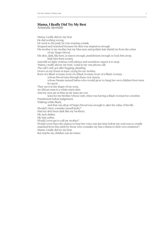## **Mama, I Really Did Try My Best**

Amanda Ajomale

Mama, I really did try my best. He did nothing wrong. He went to the park; he was wearing a mask. Stopped and searched because his skin was suspicion enough. His mother is my mother, but my blue eyes and golden hair shield me from the crime of my Negro blood. His skin, dark, like hers, is reason enough, punishment enough, to lock him away, hide him from society. And still we fight violence with silence and somehow expect it to stop. 'Mama, I really did try my best,' I said in my one phone call. The call I only got after begging, pleading. Down on my knees in tears, crying for my mother. Born of a Black woman, born of a Black woman, born of a Black woman, whose blood runs through these very streets, whose breasts nursed babes who would grow to hang her own children from trees for sport. They see it in the shape of my nose. An African man in a white man's skin. And my eyes are as blue as my tears are wet, tears for my brother whose only crime was having a Black woman for a mother. Punishment before judgement. Walking while Black, and that one drop of Negro blood was enough to alter the value of his life. Should I, then, consider myself lucky? Had my skin been dark like my brother's, My eyes darker, My hair curlier, Would I even get to call my mother? Would I even have the chance to hear her voice one last time before my soul was so cruelly snatched from this earth by those who consider my hue a threat to their own existence? Mama, I really did try my best. But maybe my children can do better.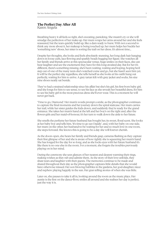# **The Perfect Day After All**

Karen Angela

Breathing heavy it all feels so tight, she's sweating, panicking. She mustn't cry or she will smudge the perfection of her make-up. Her mum wraps her arms around her and she feels reassured, but the tears quickly build up, like a dam ready to burst. With not a second to think any more about it, her makeup is being touched up, her mum helps her buckle her 'something new' shoes, her sister is sorting the trail on her dress. It's almost time…

Despite her thoughts, she looks and feels absolutely stunning, her long dark hair hanging down in loose curls, lace flowing and sparkly beads hugging her figure. She watches all her family and friends arrive at this spectacular venue, huge smiles on their faces, she can hear laughter and see the excitement they have for this long-awaited day. But for her it's different, there's something missing, she's been waiting, waiting and hoping, hoping he'd step out of one of the many taxis she's watched come and go, but she hasn't seen him yet. It will be the perfect day regardless, she tells herself as she looks at his outfit hung out perfectly, waiting for him to arrive. A grey tartan kilt with grey jacket and socks, his size nine shoes neatly sat beside.

They've had a strained relationship since his affair but she's his girl, his first-born baby girl, and she longs for him to see sense, to see his face as she reveals her beautiful dress, for him to see his baby girl in the most precious dress she'll ever wear. This is a moment he will never get back.

'Time to go, Diamond.' Her mum's words prompt a smile, as the photographer continues to capture the final moments and her journey down the spiral staircase. Her mum carries her trail, while her sister guides the kids down, and suddenly they're ready for the grand entrance. She takes her mum's hand at the left and her boy's on the right and, after the flower-girls and her maid-of-honour, it's her turn to walk down the aisle to her future.

She smells the perfume her future husband has bought her, its sweet, floral scent. She looks at her baby boy and tells him, 'It's time to go see Daddy', and, with her baby on one side, her mum on the other, her husband-to-be waiting for her and so much love in one room, she steps forward. She knows this is going to be a day she will forever cherish.

As the doors open, she hears her family and friends gasp, cameras flashing as they capture their first glimpse of her and she is aware of how tightly she is squeezing her mum's hand. She has longed for the day for so long, and as she locks eyes with her future husband it's like there is no one else in the room. For a moment, she forgets the troubles previously playing on in her mind.

During the ceremony she sees glances of her nearest and dearest warming their rings, making wishes as they rub and admire them. As the story of their love unfolds, they share tears and laughter with their guests. The memories continue to be made and shared throughout their day as the photographer captures little details that she would have otherwise missed. Her son blowing bubbles in the gardens, her god-daughter, niece and nephew playing happily in the sun. Her gran telling stories of when she was little.

Later on, she pauses to take it all in, looking around the room as the music plays. Her auntie is the first on the dance-floor, smiles all around and she realises her day is perfect, just the way it is.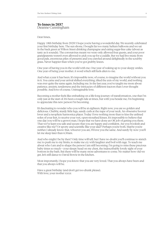# **To Innes in 2037**

Deanne Cunningham

Dear Innes,

Happy 18th birthday from 2020! I hope you're having a wonderful day. We recently celebrated your first birthday here. The sun shone, I bought far too many helium balloons and we sat in the back green at Wilton Street drinking champagne and eating sugar-free cake (about as tasty as it sounds). The coronavirus meant we were only allowed four guests, and your poor grandparents weren't even allowed to pick you up for a cuddle. But we had live music from good pals, enormous piles of presents and you crawled around delightedly in the scrubby grass. Never happier than when you've got grubby knees.

One year of having you in the world with me. One year of waking up to your sleepy smiles. One year of being your mother. A word which still feels alien to me.

And what a year it has been. It's impossible now, of course, to imagine the world without you in it. You came and your arrival shifted everything, tilted the axis of my world, and nothing was ever quite the same again. Including me. In the last year, you've taught me more about patience, anxiety, tenderness and the intricacies of different tractors than I ever thought possible. And love of course. Unimaginable love.

Becoming a mother feels like embarking on a life-long journey of transformation, one that I'm only just at the start of. It's been a tough ride at times, but with you beside me, I'm beginning to appreciate this new person I'm becoming.

It's fascinating to wonder who you will be at eighteen. Right now, you are so golden and delicious. Chubby, sturdy little legs, sandy curls at the nape of your neck. An obsessive hoover lover and a neophyte harmonica player. Today I love nothing more than to kiss the unlined soles of your feet, to receive your wet, open-mouthed kisses. It's impossible to believe that one day you will be a grown man. I hope that we have done an OK job of getting you there. That we've kept you safe and secure; that you are happy and confident. Are you bookish and creative like me? Or sporty and scientific like your dad? Perhaps you're both. Maybe you're neither. I already know that, whoever you are, I'll love you the same. And surely by now you'll let me sleep later than 6.30am.

And who might I be by then? Only time will tell, but I have no doubt you'll continue to stretch me: to push me to my limits, to make me cry with laughter and boil with rage. To teach me about who I am and to shape the person I am still becoming. I'm going to miss these precious baby times so much – your sleepy head on my chest, the indescribably lovely sight of your bottom in the bath. But there will be many more adventures to come. No matter how old we get, let's still dance to David Bowie in the kitchen.

Most importantly, I hope you know that you are very loved. That you always have been and that you always will be.

Have a great birthday (and don't get too drunk please). With love, your mother xxxx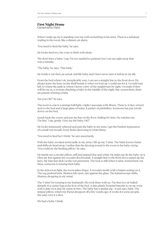### **First Night Home**

Genevieve Herr

When I wake up, he is standing over me with something in his arms. There is a subdued wailing in the room, like a distant car alarm.

'You need to feed the baby,' he says.

He looks tired too, his voice is thick with sleep.

'We don't have a baby,' I say. I'm too startled to pretend, but I can see right away that was a mistake.

'The baby,' he says. 'This baby.'

He holds it out then; an actual, real-life baby, and I have never seen it before in my life.

From the bed where I sit, inexplicably sore, I can see a straight line to the front door. We always leave the keys on the shelf beside it when we lock up. I could run for it. I would turn left, to where the park is, where I know a few of the neighbours by sight. I wonder if they will let me in, a woman clutching a baby in the middle of the night. But, somewhere, there are parents missing a baby.

'Are you OK?' he says.

The room is cast in a strange half-light, a light I associate with illness. There is, in fact, a bowl next to the bed and a large glass of water. A packet of painkillers. Someone has put towels down on the bed.

I push back the covers and put my feet on the floor. Stalling for time. He watches me. 'I'm fine,' I say, gently. 'Give me the baby, OK?'

He looks immensely relieved and puts the baby in my arms. I get the briefest impression of a small wet mouth, bony limbs drowning in white fabric.

'You need to feed her I think,' he says uncertainly.

With the baby crooked awkwardly in my arms, I lift up my T-shirt. The baby knows better and shifts its head away. I realise that the droning sound in the room is the baby crying. 'You could try the feeding pillow,' he says.

He hands me a circular pillow, stiff and striped blue and white. He helps me lie the baby on it. I flex my feet against the wooden floorboards. A straight line to the front door, snatch up the keys. My bare feet slick on the wet pavement. The lock is stiff when it rains. Somewhere out there, someone is missing their baby.

In the sick-room light, the room takes shape. A wooden trestle with a basket resting on it. The rug pushed back. Shutters left open, rain against the glass. The kaleidoscope shifts. Shutters dropping in my mind.

The T-shirt I'm wearing is my husband's. We took three with us. The first two sit balled damply in a carrier bag at the foot of the bed. A thin plastic hospital bracelet is on my wrist with a date on it and my name in biro. The baby has a similar tag – it just says, baby. The striped pillow, which my friend dropped off a few weeks ago. It works for some people, she said. Give it a shot.

We had a baby, I think.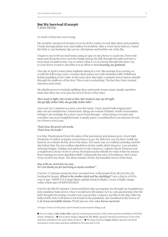# **But We Survived (Excerpt)**

Catrin Kemp

So much of that time was wrong.

My sensible waterproof remains on its hook for weeks on end. Blue skies and sunshine. I wade through plastic toys and endless food debris. After a week stuck indoors, I hand the baby to my husband, dig out my old trainers and hobble out of the flat.

I begin to run in 60-second bursts, using an app on my phone to coach me. Down the steps and along the river; over the bridge and up the hill, through the park and then a loop back towards home. I try to notice what it is to be living through this time; I try to note down words to describe it in an effort to find *meaning, joy, gratitude*.

One day in April I notice three mallards sitting in a row, like teenage boys posing on a wall; the following week, a mother duck passes me with miniature balls of fluff and feather paddling in her wake. In the same spot days later, a majestic heron tiptoes silently through the shallows of the river. This to me is something. The fact that I have looked and seen and noted.

My playlist grows to include uplifting disco and seedy house music; steady, repetitive beats that drive me on to put one foot in front of the other.

#### *She's ready to fight, she's ready to bite, she's ready to stay up all night She got fifty dollar bills, she got fifty dollar bills* 1.

I run now for 3 minutes at a time. Over the music, I hear church bells ringing and I take out my headphones. Somewhere, things are normal. Parishes. Small communities. Perhaps I am nostalgic for a time I never lived through – when being a woman and a mother was more straightforward: A sturdy pram, a scrubbed floor, an intricate brooch on a brown wool coat.

#### *That's how the good Lord works That's how He works* 2.

It is May. Weeds sprawl from the sides of the pavements and grasses grow a foot high. Hundreds of yellow poppies, everywhere you go. My little boy, not yet three, holds my hand as we wander slowly down the street. The same way we walked yesterday, and the day before that. He sees endless dandelion clocks, snails, dried dog poo. I see people's trimmed hedges. Teddies and rainbows in the windows. I admire cherry blossom and a neighbour's choice of door colour. His hand reaches blindly for mine when he returns from bashing yet more dandelion fluff. Underneath the ache of loneliness, I feel a bud of joy swell in my heart. The sheer miracle of him, the beautiful crown of his head.

#### *Stay with me, don't lose me now So I can thank you for just being so damn excellent* 3.

I run for 12 minutes along the river, crowded now with people from all over the city looking for beauty. *Where is the mother duck and her ducklings?* I see a dog in a Hi-Viz coat. It says NERVOUS in large black capitals along its flanks. I want a bright orange t-shirt which says OVERWHELMED.

I run for the full 30 minutes. Cheers and fireworks accompany me through my headphones, June sunshine beats down. Once I would have felt elated. As it is, I am questioning why the hell I thought becoming a mother was a good idea. I suspect, just like in the days after my baby's birth, that I will learn to look back at the pandemic, dry-mouthed at the horror of it all. *It was incredibly intense,* I'll tell anyone who asks, *but we survived*.

A longer version of this piece can be found at newmumswriting.co.uk

**➊**. Sworn Virgins, *Fifty Dollar Bills.* Quoted with kind permission of the artist and their publishers DEEWEE Studio (Belgium) | **➋** The Joubert Singers, *Stand On The Word*. Quoted with kind permission of the artist and their publishers Favourite Music (France) | **➌** The Juan McLean, *Happy House*. Quoted with kind permission of the artist and their publishers DFA Records (USA)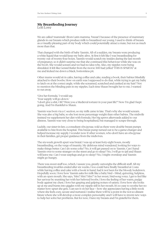# **My Breastfeeding Journey**

Lori Love

We are called 'mammals' (from Latin mamma, 'breast') because of the presence of mammary glands in our breasts which produce milk to breastfeed our young. I used to think of breasts as a visually-pleasing part of my body which could potentially attract a mate, but not as much more than that.

That changed with the birth of baby Yasmin. All of a sudden, my breasts were producing a white liquid that would keep my baby alive. At first it felt like I was breastfeeding for twenty out of twenty-four hours. Yasmin would scratch my insides during the last month of pregnancy, so it didn't surprise me that she continued this behaviour while she was on the boob. She would scream and we had no idea why. Also, my nipples were being shredded. It felt like Gerard Butler from the movie 300 had yelled 'THIS IS SPARTA!' at me and kicked me down a black, bottomless pit.

Other mums would sit in cafes, having coffee and cake, reading a book, their babies blissfully attached to their boobs. How on earth was I supposed to do that, while trying to get my baby to latch on at the correct angle, while she screamed, scratched and yanked at my hair? Not to mention the blinding pain in my nipples. Each time Shaun brought her to me, I wanted to run away.

'Give her formula,' I would say. 'Your supply will go down.' 'I don't give a shit, OK? Were you a Medieval torturer in your past life?' Now I'm glad I kept going. And I'm thankful to Shaun.

Yasmin was born via a C-section, so my milk came in late. That's why she would scream. She was also a big baby, so she lost more percentage weight than other babies. The midwife insisted we supplement her diet with formula. Her big spews afterwards added to our distress. Yasmin was very close to being hospitalised, but managed to scrape through.

Luckily, our sister-in-law, a consultant obs/gynae, told us there were double breast pumps available to hire from the hospital. This breast pump turned out to be a game-changer and helped increase my supply. I wonder now if other women, who don't have an obs/gynae in their families, get proper guidance from the midwives.

The six-week growth spurt was brutal. I was up at least forty-eight hours, mostly breastfeeding, on the verge of insanity. My delirious mind wandered, looking for ways to make things better. Can I do some coke? No, it will get passed on to Yasmin. Can I hand Yasmin over to some stranger on the street and go to sleep? No, I will go to jail and Shaun will leave me. Can I wear earplugs and go to sleep? No, I might oversleep and Yasmin might go hungry.

There was sweet stuff too, which, I assure you, greatly outweighs the difficult stuff. All my breastfeeding troubles ended after six weeks. I too could have finally breastfed at Costa while having coffee and cake with a book in hand, had it not been for the bloody lockdown. Hopefully soon. I love how Yasmin asks for milk like a baby bird – blind, quivering, helpless, with an open mouth. She says, 'Mm? Mm? Mm?' in her sweet, bird-song voice. I get to feel like her saviour by reuniting her with her beloved boobs. I love the feeling of her warm, pudgy body against my chest. I love her gasping and gulping noises of satiety. I love how she looks up at me and bursts into giggles with my nipple still in her mouth. It's so easy to soothe her no matter how upset she gets. I can see it on her face – how she appreciates having a little nook where she feels cozy, secure and nurtured. I realise there will be a point in the not-so-distant future where she will develop a more complex personality and I will have to invent new ways to help her solve her problems. But for now, I have my breasts and I'm grateful for them.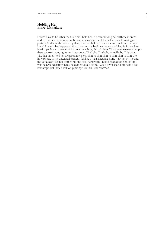#### **Holding Her** Ishbel McFarlane

I didn't have to hold her the first time I held her. I'd been carrying her all these months and we had spent twenty-four hours dancing together, blindfolded, not knowing our partner. And here she was – my dance partner, held up in silence so I could see her sex. I don't know what happened then. I was on my back, someone else's legs in front of me in stirrups. My arm was stretched out on a thing, full of things. There were so many people there were so many lights and it was over. The baby. The baby. A real baby. This baby. The first time I held her it was on my chest. Skin-to-skin, skin-to-skin, skin-to-skin, the holy phrase of my antenatal classes. I felt like a magic healing stone – lay her on me and the fairies can't get her, can't come and steal her breath. I held her as a stone holds up. I was heavy and happy in my nakedness, like a stone. I was a joyful glacial stone in a flat landscape, left there a million years ago for this – sun-warmed.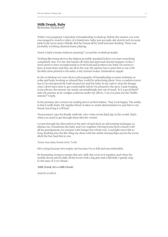### **Milk Drunk, Baby**

Rowena McIntosh

While I was pregnant, I attended a breastfeeding workshop. Before the session, we were encouraged to watch a video of a brand-new baby, just seconds old, slowly inch its teeny pink body up its mum, blindly find her breast all by itself and start feeding. There was probably soothing classical music playing.

'Aren't a baby's innate instincts amazing?' cooed the workshop leader.

Nothing like being shown the highest possible standard before you start something completely new. For me, this hands-off, baby-led approach doesn't happen. In fact, I don't seem to have enough hands to both hold and position my baby. He seems to have at least three and they are all in the way. My partner has to pass him to me with his little arms pinned to his sides, a tiny human rocket. Destination: nipple.

In the workshop we were shown photographs of breastfeeding women reclining on sofas and beds, looking so relaxed they could be advertising them. Now, a cushion tower has to be retrospectively built around me and the baby. In my rush to stop the hungry cries, I don't have time to get comfortable before I'm pinned to the spot. I stare longing at my phone, the remote, my snack, sat tantalisingly just out of reach. 'Is it a good latch?' asks my partner, as he wedges cushions under my elbow. 'Can you pass me the Netflix remote?' I reply.

In the pictures, the women are smiling down at their babies. They look happy. The reality is that it really hurts. My nipples bleed. It takes so much determination to put him to my breast, knowing it will hurt.

'Perseverance' says the kindly midwife, who visits on his third day in the world, 'that's what you need to get through these first few weeks.'

I count through the discomfort at the start of each feed, an old running technique, to distract me. Sometimes the baby and I cry together. Driving home from a lunch with all his grandparents, he screams with hunger the whole way. A red light never felt so long. Rushing into the flat I fling my dress with the subtle nursing flaps across the room, ditch the bra, haul him to me.

'Sorry wee man, home now,' I sob.

He's crying because he's empty, me because I'm so full and uncomfortable.

It's frustrating, trying to master this new skill. But we're in it together, and when his eyelids droop and he falls off the boob with a big grin and a full belly I quietly sing to the tune of 'Love Shack':

*'Milk Drunk, he's a Milk Drunk.'*

And it's worth it.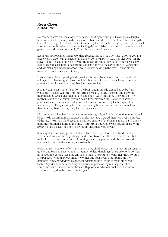#### **Never Closer** Marita Neely

My mother's arms pull me closer to her chest, holding me firmly but lovingly. We laugh at how my feet splash gently in the basin as I bob up and down on her knee. She picks up the big yellow sponge, heavy with water, to wash my feet. She tells me a story – how Jesus would wash the feet of his friends. His way of telling the world that he was there to serve others. I gaze at her and smile contentedly. This is home, where I belong.

Evening is approaching, bringing with it a breeze through the open back door. Its cooling presence is welcome in the heat of the kitchen, where a pot of stew bubbles away on the stove. All the delicious smells of my mother's cooking mix together in the air. I close my eyes to discern each unique scent; lamb, oregano, thyme, the earthy smell of vegetables and a tantalising hint of cinnamon unveils what is baking in the oven – an apple pie made with buttery short crust pastry.

I can hear my siblings playing in the garden. I brim with excitement at the thought of telling them what tonight's dessert will be… but that will have to wait. I want to savour precious time alone with my mother. Just the two of us.

A soapy, disinfectant smell rises from the basin and is quickly washed away by fresh water from the jug. While my mother scrubs my skin, I study the basin and jug with their matching Greek Meander pattern. Outside of wash time, they sit proudly on my mother's chest of drawers; jug within basin, flowers within jug. Daffodils in spring, peonies in early summer and whatever wildflowers I uproot as gifts throughout the rest of the year. Every evening they are temporarily housed within another vessel, so that my sticky hands and grubby feet can be cleaned.

My mother sacrifices her favourite accoutrements gladly, willingly and with unconditional love. She doesn't mind the spiderweb cracks that have weaved their way over the surface of the jug. She turns a blind eye to the chipped enamel of the basin. Time, use and clumsy hands have added features to the once pristine blue and white washbowl and jug. With a warm smile she lets me know she wouldn't have it any other way.

Squeaky clean and wrapped in a fluffy cotton towel, I perch on a stool and watch as she meticulously washes my siblings next – one, two, three. Her love not divided, but multiplied. In those moments I unknowingly learn the parenting skills that I would later practice and cultivate on my own daughter.

Now that I am a parent I often think back on my childhood. I think of that little girl, sitting quietly and watching everything so intently, her legs dangling in the air. Her only concern; if she would ever have legs long enough to touch the ground. My mother knew I would. She believed I would grow, spread my wings and soar. Every time I bathe my own daughter, I am reminded with a deeper understanding of the love my mother had for me. My Meander-patterned jug takes pride of place on my mantelpiece; filled sometimes with daffodils, other times with peonies and occasionally with whatever wildflowers my daughter tugs from the garden.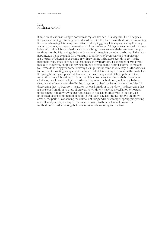### **It Is** Philippa Roloff

If my default response is anger, boredom is my Achilles heel. It is May, still. It is 10 degrees. It is grey and raining. It is Glasgow. It is lockdown. It is this flat. It is motherhood. It is numbing. It is never-changing. It is being productive. It is keeping going. It is staying healthy. It is daily walks in the park, whatever the weather. It is London having 30 degree weather again. It is not being in London. It is socially-distanced-socialising, one-on-one with the same two people for three months. It is having a baby with you at all times. It is counting the hours till the next naptime. It is being available for the auction countdown of every watched item on eBay. It is the rush of adrenaline as I come in with a winning bid at two seconds to go. It is the persistent, fruity smell of baby poo that lingers in my bedroom. It is the piles of crap I want to take to the charity shop. It is having nothing better to do but submit a formal complaint to Hermes following yet another delivery fuck-up. It is the same as yesterday. It is the same as tomorrow. It is waiting in a queue at the supermarket. It is waiting in a queue at the post office. It is going home again, parcels still in hand, because the queue stretches up the street and round the corner. It is waiting for Saturday night's take-away to arrive with the excitement of a four-year-old anticipating her birthday. It is pacing the bedroom, rocking my baby to sleep. It is the downy warmth of his head against my cheek, as he rests on my shoulder. It is discovering that my bedroom measures 10 steps from door to window. It is discovering that it is 15 steps from door to chest-of-drawers to window. It is giving myself another 10 steps until I can put him down, whether he is asleep or not. It is another walk in the park. It is finding a different combination of paths to walk each day. It is finding hitherto unknown areas of the park. It is observing the diurnal unfurling and blossoming of spring, progressing at a different pace depending on the area's exposure to the sun. It is lockdown. It is motherhood. It is discovering that there is not much to distinguish the two.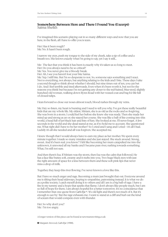### **Somewhere Between Here and There I Found You (Excerpt)** Saima Sheikh

I've imagined this scenario playing out in so many different ways and now that you are here, in the flesh, all I have to offer you is tears.

Her: Has it been rough? Me: No. It hasn't been rough.

I narrow my eyes, push my tongue to the side of my cheek, take a sip of coffee and a breath too. She knows exactly what I'm going to say, yet I say it still...

Me: The fact that you think it has been is exactly why it's taken us so long to meet. Her: Do you always need to be so critical? Me: Yes. You never give me a bloody break.

Her: Ah, I see you haven't lost your bite Saima.

Me: Yep. I still bite. But I'm so desperate to not. So, someone says something and I react. Not to everything, not always, but anything relating to the kids and I bite. These days I take a second though to think about whether I should, but nine times out of ten, you can bet I do. And I feel terrible and tired afterwards. Even when it's been worth it, but not for the reasons you think but because I'm not getting any closer to the red-haired, blue-eyed, slightly hunched old woman, walking down Byres Road with her waxed coat and bag for life full of closed tulips.

I lean forward so close our noses almost touch, blood rushes through my veins.

Me: Hey so listen, my heart is bursting and I need to tell you why. I've got these really beautiful kids that are my whole life. My eldest, Miriam, she is as old as the rocks and so forgiving. She was born in a storm. I could feel her before she knew she was ready. Then she made her mind up and strong as an ox she stayed her course. She was like a ball of fire coming into this world, a head full of jet-black hair and fists of fury. She looked at me. I'll never forget. A few seconds in the world and she dead stared at me, as if to hold me to account. She questioned me. What right did I have to be her mother? So I cried and I sang and I cried – it's all I had. Luckily it's all she needed and all was forgiven. She accepted me.

I knew though that I would always have to earn my place as her mother. We spent every minute together. I made so many mistakes and she just stayed. She stuck around. Strong, sweet. And it's been real, you know? I felt like becoming her mum catapulted me into the unknown, it unrooted all my banks and I became pure river, rushing towards something. What, I'm still not sure.

And then there's Esa. If Miriam was the storm, then Esa was the calm that followed. He has a face like butter, soft, creamy and it melts into you. Two huge black eyes with just the right amount of space for a kiss between them and these soft pink lips that never miss a drop of milk.

Together, they keep this river flowing. I've never known a love like this.

But I have so much anger and rage. Becoming a mum just brought that out. Everyone around me is tilting their head sideways, hoping to empathise, patronising instead. It is what we do as a polite society. I catch myself doing it to others and all I am is a big ball of rage. I have a fire in my tummy and a hope that sparks that flame. I don't always like people much, but I am so full of hope for them. I am always hopeful for a better tomorrow. It's no coincidence that I remember that one quote from *Cat's Eye* 4. 'It's old light and there's not much of it. But it's enough to see by.' But the rage exhausts me. I want to stand at a cliff and hurl out the kind of scream that would compete even with thunder.

Her: So why don't you? Me: I'm too angry.

A longer version of this piece can be found at newmumswriting.co.uk

**➍** Margaret Atwood, *Cat's Eye* (1988).